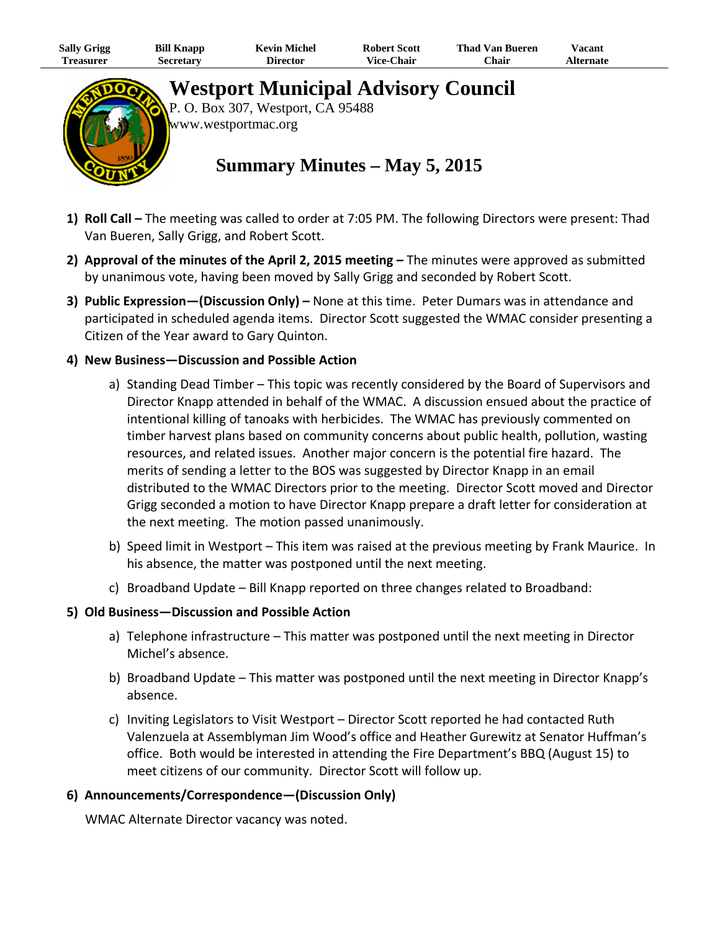| Sally Grigg | <b>Bill Knapp</b> | <b>Kevin Michel</b> | <b>Robert Scott</b> | <b>Thad Van Bueren</b> | 'acant    |  |
|-------------|-------------------|---------------------|---------------------|------------------------|-----------|--|
| l'reasurer  | Secretary         | <b>Director</b>     | Vice-Chair          | $C$ hair               | Alternate |  |



**Westport Municipal Advisory Council** 

P. O. Box 307, Westport, CA 95488 www.westportmac.org

# **Summary Minutes – May 5, 2015**

- **1) Roll Call –** The meeting was called to order at 7:05 PM. The following Directors were present: Thad Van Bueren, Sally Grigg, and Robert Scott.
- **2) Approval of the minutes of the April 2, 2015 meeting –** The minutes were approved as submitted by unanimous vote, having been moved by Sally Grigg and seconded by Robert Scott.
- **3) Public Expression—(Discussion Only) –** None at this time. Peter Dumars was in attendance and participated in scheduled agenda items. Director Scott suggested the WMAC consider presenting a Citizen of the Year award to Gary Quinton.

### **4) New Business—Discussion and Possible Action**

- a) Standing Dead Timber This topic was recently considered by the Board of Supervisors and Director Knapp attended in behalf of the WMAC. A discussion ensued about the practice of intentional killing of tanoaks with herbicides. The WMAC has previously commented on timber harvest plans based on community concerns about public health, pollution, wasting resources, and related issues. Another major concern is the potential fire hazard. The merits of sending a letter to the BOS was suggested by Director Knapp in an email distributed to the WMAC Directors prior to the meeting. Director Scott moved and Director Grigg seconded a motion to have Director Knapp prepare a draft letter for consideration at the next meeting. The motion passed unanimously.
- b) Speed limit in Westport This item was raised at the previous meeting by Frank Maurice. In his absence, the matter was postponed until the next meeting.
- c) Broadband Update Bill Knapp reported on three changes related to Broadband:

#### **5) Old Business—Discussion and Possible Action**

- a) Telephone infrastructure This matter was postponed until the next meeting in Director Michel's absence.
- b) Broadband Update This matter was postponed until the next meeting in Director Knapp's absence.
- c) Inviting Legislators to Visit Westport Director Scott reported he had contacted Ruth Valenzuela at Assemblyman Jim Wood's office and Heather Gurewitz at Senator Huffman's office. Both would be interested in attending the Fire Department's BBQ (August 15) to meet citizens of our community. Director Scott will follow up.

#### **6) Announcements/Correspondence—(Discussion Only)**

WMAC Alternate Director vacancy was noted.